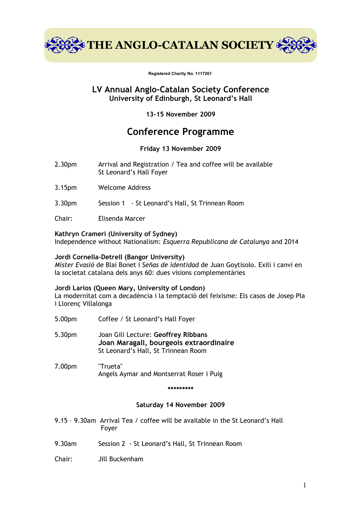

**Registered Charity No. 1117261** 

## **LV Annual Anglo-Catalan Society Conference University of Edinburgh, St Leonard's Hall**

**13-15 November 2009**

# **Conference Programme**

## **Friday 13 November 2009**

- 2.30pm Arrival and Registration / Tea and coffee will be available St Leonard's Hall Foyer
- 3.15pm Welcome Address
- 3.30pm Session 1 St Leonard's Hall, St Trinnean Room
- Chair: Elisenda Marcer

## **Kathryn Crameri (University of Sydney)**

Independence without Nationalism: *Esquerra Republicana de Catalunya* and 2014

## **Jordi Cornella-Detrell (Bangor University)**

*Míster Evasió* de Blai Bonet i *Señas de identidad* de Juan Goytisolo. Exili i canvi en la societat catalana dels anys 60: dues visions complementàries

## **Jordi Larios (Queen Mary, University of London)**

La modernitat com a decadència i la temptació del feixisme: Els casos de Josep Pla i Llorenç Villalonga

- 5.00pm Coffee / St Leonard's Hall Foyer
- 5.30pm Joan Gili Lecture: **Geoffrey Ribbans Joan Maragall, bourgeois extraordinaire** St Leonard's Hall, St Trinnean Room
- 7.00pm "Trueta" Angels Aymar and Montserrat Roser i Puig

#### **\*\*\*\*\*\*\*\*\***

## **Saturday 14 November 2009**

- 9.15 9.30am Arrival Tea / coffee will be available in the St Leonard's Hall Foyer
- 9.30am Session 2 St Leonard's Hall, St Trinnean Room
- Chair: Jill Buckenham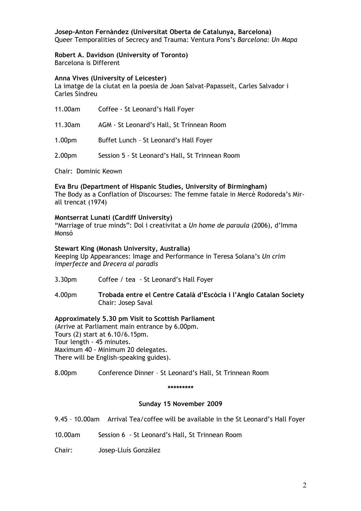**Josep-Anton Fernàndez (Universitat Oberta de Catalunya, Barcelona)** Queer Temporalities of Secrecy and Trauma: Ventura Pons's *Barcelona: Un Mapa*

## **Robert A. Davidson (University of Toronto)**

Barcelona is Different

#### **Anna Vives (University of Leicester)**

La imatge de la ciutat en la poesia de Joan Salvat-Papasseit, Carles Salvador i Carles Sindreu

| 11.00am            | Coffee - St Leonard's Hall Foyer                |
|--------------------|-------------------------------------------------|
| 11.30am            | AGM - St Leonard's Hall, St Trinnean Room       |
| 1.00 <sub>pm</sub> | Buffet Lunch - St Leonard's Hall Foyer          |
| 2.00 <sub>pm</sub> | Session 5 - St Leonard's Hall, St Trinnean Room |

Chair: Dominic Keown

**Eva Bru (Department of Hispanic Studies, University of Birmingham)** The Body as a Conflation of Discourses: The femme fatale in Mercè Rodoreda's Mirall trencat (1974)

## **Montserrat Lunati (Cardiff University)**

"Marriage of true minds": Dol i creativitat a *Un home de paraula* (2006), d'Imma Monsó

#### **Stewart King (Monash University, Australia)**

Keeping Up Appearances: Image and Performance in Teresa Solana's *Un crim imperfecte* and *Drecera al paradís*

- 3.30pm Coffee / tea St Leonard's Hall Foyer
- 4.00pm **Trobada entre el Centre Català d'Escòcia i l'Anglo Catalan Society** Chair: Josep Saval

## **Approximately 5.30 pm Visit to Scottish Parliament**

(Arrive at Parliament main entrance by 6.00pm. Tours (2) start at 6.10/6.15pm. Tour length - 45 minutes. Maximum 40 - Minimum 20 delegates. There will be English-speaking guides).

8.00pm Conference Dinner – St Leonard's Hall, St Trinnean Room

#### **\*\*\*\*\*\*\*\*\***

## **Sunday 15 November 2009**

9.45 – 10.00am Arrival Tea/coffee will be available in the St Leonard's Hall Foyer

- 10.00am Session 6 St Leonard's Hall, St Trinnean Room
- Chair: Josep-Lluís González